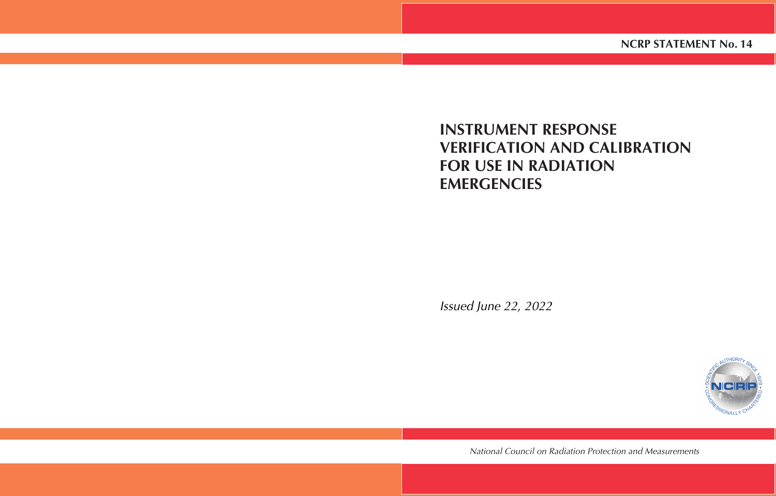# **INSTRUMENT RESPONSE VERIFICATION AND CALIBRATION FOR USE IN RADIATION EMERGENCIES**

Issued June 22, 2022



*National Council on Radiation Protection and Measurements*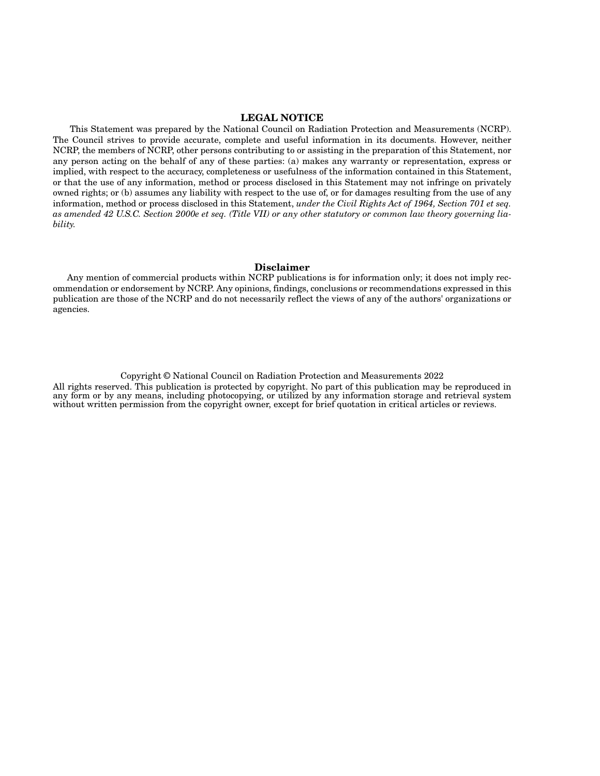#### **LEGAL NOTICE**

 This Statement was prepared by the National Council on Radiation Protection and Measurements (NCRP). The Council strives to provide accurate, complete and useful information in its documents. However, neither NCRP, the members of NCRP, other persons contributing to or assisting in the preparation of this Statement, nor any person acting on the behalf of any of these parties: (a) makes any warranty or representation, express or implied, with respect to the accuracy, completeness or usefulness of the information contained in this Statement, or that the use of any information, method or process disclosed in this Statement may not infringe on privately owned rights; or (b) assumes any liability with respect to the use of, or for damages resulting from the use of any information, method or process disclosed in this Statement, *under the Civil Rights Act of 1964, Section 701 et seq. as amended 42 U.S.C. Section 2000e et seq. (Title VII) or any other statutory or common law theory governing liability.*

#### **Disclaimer**

Any mention of commercial products within NCRP publications is for information only; it does not imply recommendation or endorsement by NCRP. Any opinions, findings, conclusions or recommendations expressed in this publication are those of the NCRP and do not necessarily reflect the views of any of the authors' organizations or agencies.

Copyright © National Council on Radiation Protection and Measurements 2022 All rights reserved. This publication is protected by copyright. No part of this publication may be reproduced in any form or by any means, including photocopying, or utilized by any information storage and retrieval system without written permission from the copyright owner, except for brief quotation in critical articles or reviews.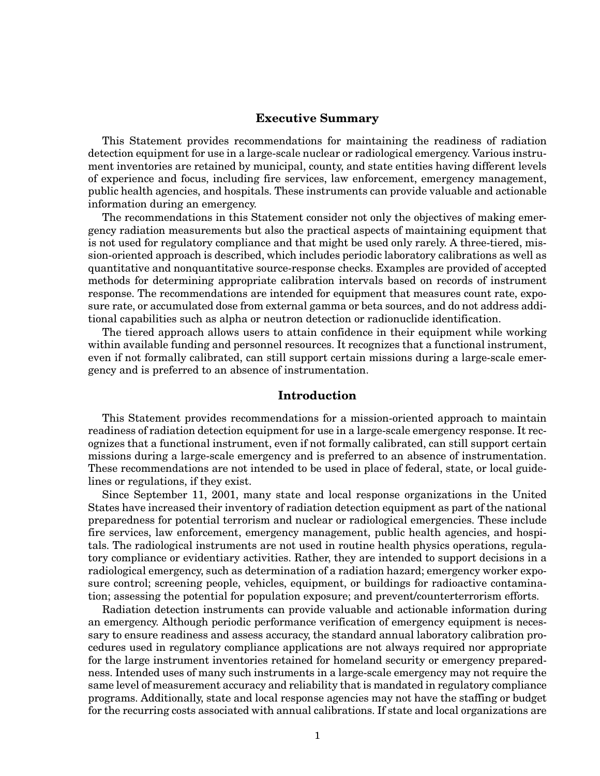#### **Executive Summary**

This Statement provides recommendations for maintaining the readiness of radiation detection equipment for use in a large-scale nuclear or radiological emergency. Various instrument inventories are retained by municipal, county, and state entities having different levels of experience and focus, including fire services, law enforcement, emergency management, public health agencies, and hospitals. These instruments can provide valuable and actionable information during an emergency.

The recommendations in this Statement consider not only the objectives of making emergency radiation measurements but also the practical aspects of maintaining equipment that is not used for regulatory compliance and that might be used only rarely. A three-tiered, mission-oriented approach is described, which includes periodic laboratory calibrations as well as quantitative and nonquantitative source-response checks. Examples are provided of accepted methods for determining appropriate calibration intervals based on records of instrument response. The recommendations are intended for equipment that measures count rate, exposure rate, or accumulated dose from external gamma or beta sources, and do not address additional capabilities such as alpha or neutron detection or radionuclide identification.

The tiered approach allows users to attain confidence in their equipment while working within available funding and personnel resources. It recognizes that a functional instrument, even if not formally calibrated, can still support certain missions during a large-scale emergency and is preferred to an absence of instrumentation.

#### **Introduction**

This Statement provides recommendations for a mission-oriented approach to maintain readiness of radiation detection equipment for use in a large-scale emergency response. It recognizes that a functional instrument, even if not formally calibrated, can still support certain missions during a large-scale emergency and is preferred to an absence of instrumentation. These recommendations are not intended to be used in place of federal, state, or local guidelines or regulations, if they exist.

Since September 11, 2001, many state and local response organizations in the United States have increased their inventory of radiation detection equipment as part of the national preparedness for potential terrorism and nuclear or radiological emergencies. These include fire services, law enforcement, emergency management, public health agencies, and hospitals. The radiological instruments are not used in routine health physics operations, regulatory compliance or evidentiary activities. Rather, they are intended to support decisions in a radiological emergency, such as determination of a radiation hazard; emergency worker exposure control; screening people, vehicles, equipment, or buildings for radioactive contamination; assessing the potential for population exposure; and prevent/counterterrorism efforts.

Radiation detection instruments can provide valuable and actionable information during an emergency. Although periodic performance verification of emergency equipment is necessary to ensure readiness and assess accuracy, the standard annual laboratory calibration procedures used in regulatory compliance applications are not always required nor appropriate for the large instrument inventories retained for homeland security or emergency preparedness. Intended uses of many such instruments in a large-scale emergency may not require the same level of measurement accuracy and reliability that is mandated in regulatory compliance programs. Additionally, state and local response agencies may not have the staffing or budget for the recurring costs associated with annual calibrations. If state and local organizations are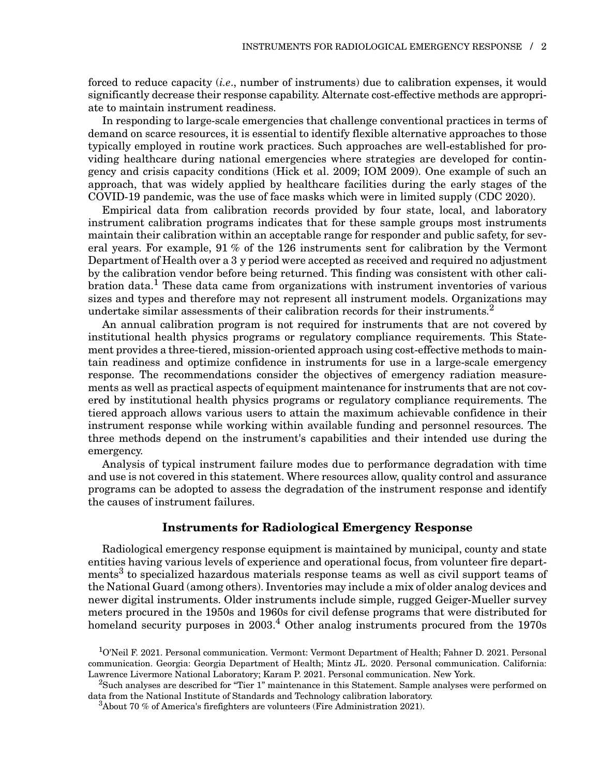forced to reduce capacity (*i.e*., number of instruments) due to calibration expenses, it would significantly decrease their response capability. Alternate cost-effective methods are appropriate to maintain instrument readiness.

In responding to large-scale emergencies that challenge conventional practices in terms of demand on scarce resources, it is essential to identify flexible alternative approaches to those typically employed in routine work practices. Such approaches are well-established for providing healthcare during national emergencies where strategies are developed for contingency and crisis capacity conditions (Hick et al. 2009; IOM 2009). One example of such an approach, that was widely applied by healthcare facilities during the early stages of the COVID-19 pandemic, was the use of face masks which were in limited supply (CDC 2020).

Empirical data from calibration records provided by four state, local, and laboratory instrument calibration programs indicates that for these sample groups most instruments maintain their calibration within an acceptable range for responder and public safety, for several years. For example, 91 % of the 126 instruments sent for calibration by the Vermont Department of Health over a 3 y period were accepted as received and required no adjustment by the calibration vendor before being returned. This finding was consistent with other calibration data.<sup>1</sup> These data came from organizations with instrument inventories of various sizes and types and therefore may not represent all instrument models. Organizations may undertake similar assessments of their calibration records for their instruments.<sup>2</sup>

An annual calibration program is not required for instruments that are not covered by institutional health physics programs or regulatory compliance requirements. This Statement provides a three-tiered, mission-oriented approach using cost-effective methods to maintain readiness and optimize confidence in instruments for use in a large-scale emergency response. The recommendations consider the objectives of emergency radiation measurements as well as practical aspects of equipment maintenance for instruments that are not covered by institutional health physics programs or regulatory compliance requirements. The tiered approach allows various users to attain the maximum achievable confidence in their instrument response while working within available funding and personnel resources. The three methods depend on the instrument's capabilities and their intended use during the emergency.

Analysis of typical instrument failure modes due to performance degradation with time and use is not covered in this statement. Where resources allow, quality control and assurance programs can be adopted to assess the degradation of the instrument response and identify the causes of instrument failures.

## **Instruments for Radiological Emergency Response**

Radiological emergency response equipment is maintained by municipal, county and state entities having various levels of experience and operational focus, from volunteer fire departments<sup>3</sup> to specialized hazardous materials response teams as well as civil support teams of the National Guard (among others). Inventories may include a mix of older analog devices and newer digital instruments. Older instruments include simple, rugged Geiger-Mueller survey meters procured in the 1950s and 1960s for civil defense programs that were distributed for homeland security purposes in  $2003<sup>4</sup>$  Other analog instruments procured from the 1970s

<sup>&</sup>lt;sup>1</sup>O'Neil F. 2021. Personal communication. Vermont: Vermont Department of Health; Fahner D. 2021. Personal communication. Georgia: Georgia Department of Health; Mintz JL. 2020. Personal communication. California: Lawrence Livermore National Laboratory; Karam P. 2021. Personal communication. New York.

<sup>2</sup>Such analyses are described for "Tier 1" maintenance in this Statement. Sample analyses were performed on data from the National Institute of Standards and Technology calibration laboratory.

 $3A$ bout 70 % of America's firefighters are volunteers (Fire Administration 2021).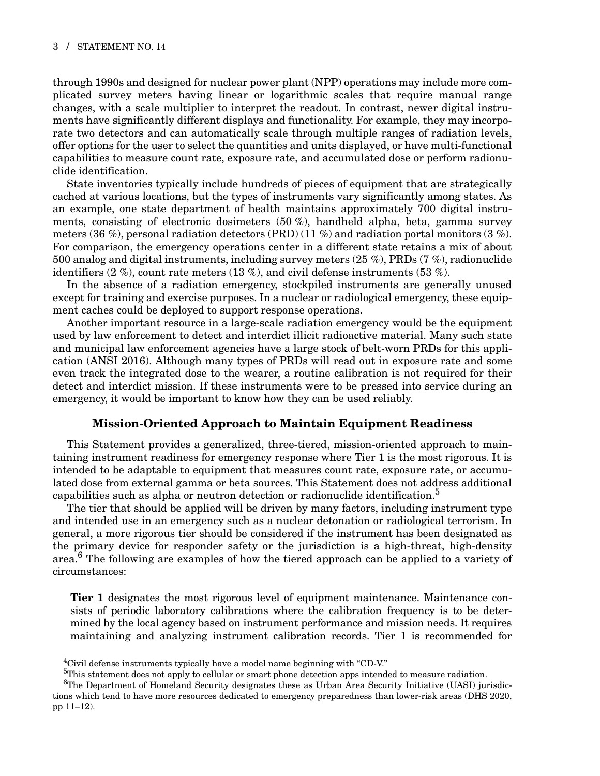through 1990s and designed for nuclear power plant (NPP) operations may include more complicated survey meters having linear or logarithmic scales that require manual range changes, with a scale multiplier to interpret the readout. In contrast, newer digital instruments have significantly different displays and functionality. For example, they may incorporate two detectors and can automatically scale through multiple ranges of radiation levels, offer options for the user to select the quantities and units displayed, or have multi-functional capabilities to measure count rate, exposure rate, and accumulated dose or perform radionuclide identification.

State inventories typically include hundreds of pieces of equipment that are strategically cached at various locations, but the types of instruments vary significantly among states. As an example, one state department of health maintains approximately 700 digital instruments, consisting of electronic dosimeters (50 %), handheld alpha, beta, gamma survey meters (36 %), personal radiation detectors (PRD) (11 %) and radiation portal monitors (3 %). For comparison, the emergency operations center in a different state retains a mix of about 500 analog and digital instruments, including survey meters (25 %), PRDs (7 %), radionuclide identifiers  $(2 \%)$ , count rate meters  $(13 \%)$ , and civil defense instruments  $(53 \%)$ .

In the absence of a radiation emergency, stockpiled instruments are generally unused except for training and exercise purposes. In a nuclear or radiological emergency, these equipment caches could be deployed to support response operations.

Another important resource in a large-scale radiation emergency would be the equipment used by law enforcement to detect and interdict illicit radioactive material. Many such state and municipal law enforcement agencies have a large stock of belt-worn PRDs for this application (ANSI 2016). Although many types of PRDs will read out in exposure rate and some even track the integrated dose to the wearer, a routine calibration is not required for their detect and interdict mission. If these instruments were to be pressed into service during an emergency, it would be important to know how they can be used reliably.

## **Mission-Oriented Approach to Maintain Equipment Readiness**

This Statement provides a generalized, three-tiered, mission-oriented approach to maintaining instrument readiness for emergency response where Tier 1 is the most rigorous. It is intended to be adaptable to equipment that measures count rate, exposure rate, or accumulated dose from external gamma or beta sources. This Statement does not address additional capabilities such as alpha or neutron detection or radionuclide identification.<sup>5</sup>

The tier that should be applied will be driven by many factors, including instrument type and intended use in an emergency such as a nuclear detonation or radiological terrorism. In general, a more rigorous tier should be considered if the instrument has been designated as the primary device for responder safety or the jurisdiction is a high-threat, high-density area.<sup>6</sup> The following are examples of how the tiered approach can be applied to a variety of circumstances:

**Tier 1** designates the most rigorous level of equipment maintenance. Maintenance consists of periodic laboratory calibrations where the calibration frequency is to be determined by the local agency based on instrument performance and mission needs. It requires maintaining and analyzing instrument calibration records. Tier 1 is recommended for

<sup>&</sup>lt;sup>4</sup>Civil defense instruments typically have a model name beginning with "CD-V."

<sup>&</sup>lt;sup>5</sup>This statement does not apply to cellular or smart phone detection apps intended to measure radiation.

<sup>&</sup>lt;sup>6</sup>The Department of Homeland Security designates these as Urban Area Security Initiative (UASI) jurisdictions which tend to have more resources dedicated to emergency preparedness than lower-risk areas (DHS 2020, pp 11–12).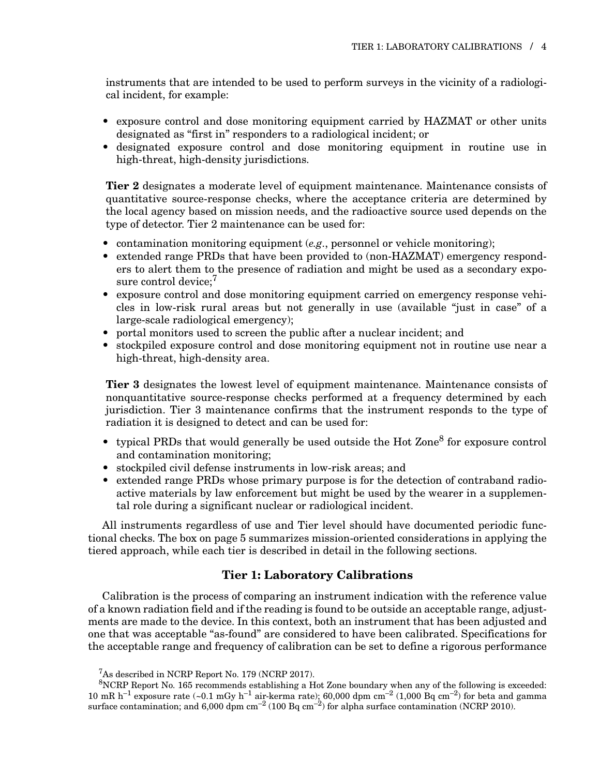instruments that are intended to be used to perform surveys in the vicinity of a radiological incident, for example:

- exposure control and dose monitoring equipment carried by HAZMAT or other units designated as "first in" responders to a radiological incident; or
- designated exposure control and dose monitoring equipment in routine use in high-threat, high-density jurisdictions.

**Tier 2** designates a moderate level of equipment maintenance. Maintenance consists of quantitative source-response checks, where the acceptance criteria are determined by the local agency based on mission needs, and the radioactive source used depends on the type of detector. Tier 2 maintenance can be used for:

- contamination monitoring equipment (*e.g*., personnel or vehicle monitoring);
- extended range PRDs that have been provided to (non-HAZMAT) emergency responders to alert them to the presence of radiation and might be used as a secondary exposure control device:<sup>7</sup>
- exposure control and dose monitoring equipment carried on emergency response vehicles in low-risk rural areas but not generally in use (available "just in case" of a large-scale radiological emergency);
- portal monitors used to screen the public after a nuclear incident; and
- stockpiled exposure control and dose monitoring equipment not in routine use near a high-threat, high-density area.

**Tier 3** designates the lowest level of equipment maintenance. Maintenance consists of nonquantitative source-response checks performed at a frequency determined by each jurisdiction. Tier 3 maintenance confirms that the instrument responds to the type of radiation it is designed to detect and can be used for:

- typical PRDs that would generally be used outside the Hot  $\text{Zone}^8$  for exposure control and contamination monitoring;
- stockpiled civil defense instruments in low-risk areas; and
- extended range PRDs whose primary purpose is for the detection of contraband radioactive materials by law enforcement but might be used by the wearer in a supplemental role during a significant nuclear or radiological incident.

All instruments regardless of use and Tier level should have documented periodic functional checks. The box on page 5 summarizes mission-oriented considerations in applying the tiered approach, while each tier is described in detail in the following sections.

#### **Tier 1: Laboratory Calibrations**

Calibration is the process of comparing an instrument indication with the reference value of a known radiation field and if the reading is found to be outside an acceptable range, adjustments are made to the device. In this context, both an instrument that has been adjusted and one that was acceptable "as-found" are considered to have been calibrated. Specifications for the acceptable range and frequency of calibration can be set to define a rigorous performance

<sup>7</sup>As described in NCRP Report No. 179 (NCRP 2017).

<sup>8</sup>NCRP Report No. 165 recommends establishing a Hot Zone boundary when any of the following is exceeded: 10 mR h<sup>-1</sup> exposure rate (~0.1 mGy h<sup>-1</sup> air-kerma rate); 60,000 dpm cm<sup>-2</sup> (1,000 Bq cm<sup>-2</sup>) for beta and gamma surface contamination; and  $6,000 \text{ dpm cm}^{-2}$  (100 Bq cm<sup>-2</sup>) for alpha surface contamination (NCRP 2010).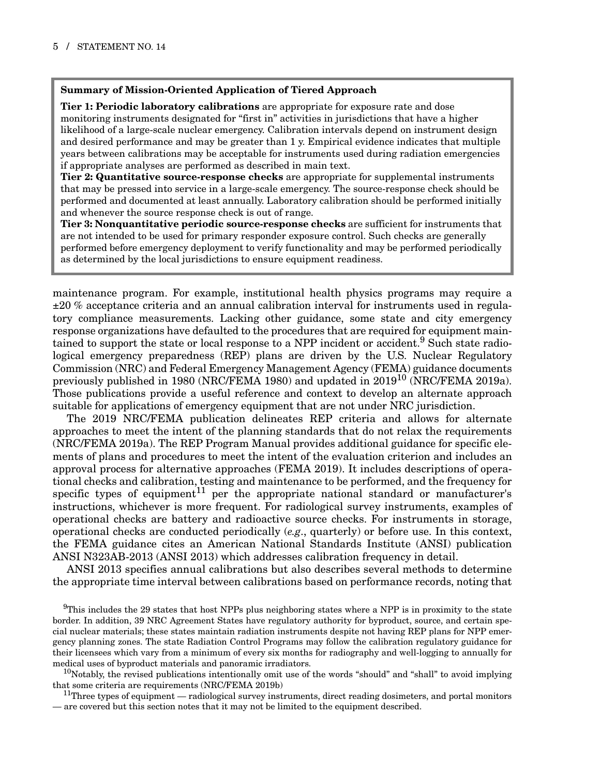#### **Summary of Mission-Oriented Application of Tiered Approach**

**Tier 1: Periodic laboratory calibrations** are appropriate for exposure rate and dose monitoring instruments designated for "first in" activities in jurisdictions that have a higher likelihood of a large-scale nuclear emergency. Calibration intervals depend on instrument design and desired performance and may be greater than 1 y. Empirical evidence indicates that multiple years between calibrations may be acceptable for instruments used during radiation emergencies if appropriate analyses are performed as described in main text.

**Tier 2: Quantitative source-response checks** are appropriate for supplemental instruments that may be pressed into service in a large-scale emergency. The source-response check should be performed and documented at least annually. Laboratory calibration should be performed initially and whenever the source response check is out of range.

**Tier 3: Nonquantitative periodic source-response checks** are sufficient for instruments that are not intended to be used for primary responder exposure control. Such checks are generally performed before emergency deployment to verify functionality and may be performed periodically as determined by the local jurisdictions to ensure equipment readiness.

maintenance program. For example, institutional health physics programs may require a ±20 % acceptance criteria and an annual calibration interval for instruments used in regulatory compliance measurements. Lacking other guidance, some state and city emergency response organizations have defaulted to the procedures that are required for equipment maintained to support the state or local response to a NPP incident or accident.<sup>9</sup> Such state radiological emergency preparedness (REP) plans are driven by the U.S. Nuclear Regulatory Commission (NRC) and Federal Emergency Management Agency (FEMA) guidance documents previously published in 1980 (NRC/FEMA 1980) and updated in 2019<sup>10</sup> (NRC/FEMA 2019a). Those publications provide a useful reference and context to develop an alternate approach suitable for applications of emergency equipment that are not under NRC jurisdiction.

The 2019 NRC/FEMA publication delineates REP criteria and allows for alternate approaches to meet the intent of the planning standards that do not relax the requirements (NRC/FEMA 2019a). The REP Program Manual provides additional guidance for specific elements of plans and procedures to meet the intent of the evaluation criterion and includes an approval process for alternative approaches (FEMA 2019). It includes descriptions of operational checks and calibration, testing and maintenance to be performed, and the frequency for specific types of equipment<sup>11</sup> per the appropriate national standard or manufacturer's instructions, whichever is more frequent. For radiological survey instruments, examples of operational checks are battery and radioactive source checks. For instruments in storage, operational checks are conducted periodically (*e.g*., quarterly) or before use. In this context, the FEMA guidance cites an American National Standards Institute (ANSI) publication ANSI N323AB-2013 (ANSI 2013) which addresses calibration frequency in detail.

ANSI 2013 specifies annual calibrations but also describes several methods to determine the appropriate time interval between calibrations based on performance records, noting that

<sup>9</sup>This includes the 29 states that host NPPs plus neighboring states where a NPP is in proximity to the state border. In addition, 39 NRC Agreement States have regulatory authority for byproduct, source, and certain special nuclear materials; these states maintain radiation instruments despite not having REP plans for NPP emergency planning zones. The state Radiation Control Programs may follow the calibration regulatory guidance for their licensees which vary from a minimum of every six months for radiography and well-logging to annually for medical uses of byproduct materials and panoramic irradiators.

<sup>10</sup>Notably, the revised publications intentionally omit use of the words "should" and "shall" to avoid implying that some criteria are requirements (NRC/FEMA 2019b)

 $11$ Three types of equipment — radiological survey instruments, direct reading dosimeters, and portal monitors — are covered but this section notes that it may not be limited to the equipment described.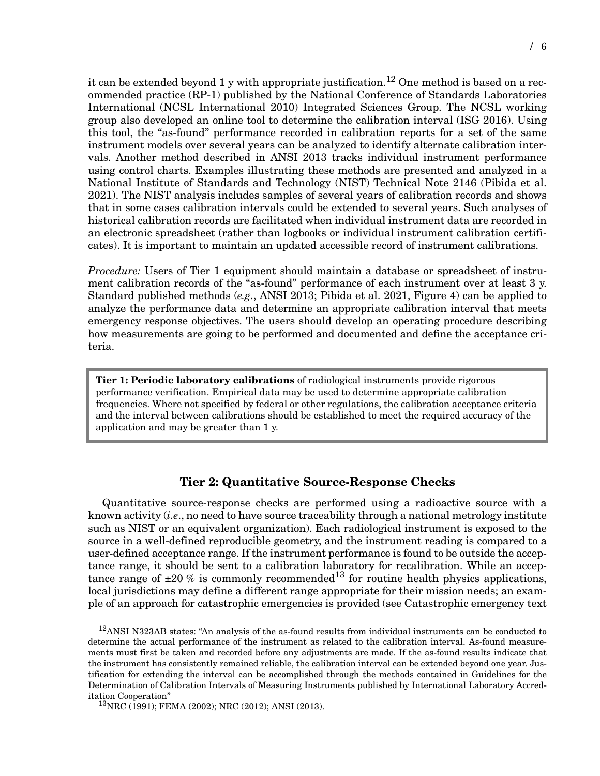it can be extended beyond 1 y with appropriate justification.<sup>12</sup> One method is based on a recommended practice (RP-1) published by the National Conference of Standards Laboratories International (NCSL International 2010) Integrated Sciences Group. The NCSL working group also developed an online tool to determine the calibration interval (ISG 2016). Using this tool, the "as-found" performance recorded in calibration reports for a set of the same instrument models over several years can be analyzed to identify alternate calibration intervals. Another method described in ANSI 2013 tracks individual instrument performance using control charts. Examples illustrating these methods are presented and analyzed in a National Institute of Standards and Technology (NIST) Technical Note 2146 (Pibida et al. 2021). The NIST analysis includes samples of several years of calibration records and shows that in some cases calibration intervals could be extended to several years. Such analyses of historical calibration records are facilitated when individual instrument data are recorded in an electronic spreadsheet (rather than logbooks or individual instrument calibration certificates). It is important to maintain an updated accessible record of instrument calibrations.

*Procedure:* Users of Tier 1 equipment should maintain a database or spreadsheet of instrument calibration records of the "as-found" performance of each instrument over at least 3 y. Standard published methods (*e.g*., ANSI 2013; Pibida et al. 2021, Figure 4) can be applied to analyze the performance data and determine an appropriate calibration interval that meets emergency response objectives. The users should develop an operating procedure describing how measurements are going to be performed and documented and define the acceptance criteria.

**Tier 1: Periodic laboratory calibrations** of radiological instruments provide rigorous performance verification. Empirical data may be used to determine appropriate calibration frequencies. Where not specified by federal or other regulations, the calibration acceptance criteria and the interval between calibrations should be established to meet the required accuracy of the application and may be greater than 1 y.

## **Tier 2: Quantitative Source-Response Checks**

Quantitative source-response checks are performed using a radioactive source with a known activity (*i.e*., no need to have source traceability through a national metrology institute such as NIST or an equivalent organization). Each radiological instrument is exposed to the source in a well-defined reproducible geometry, and the instrument reading is compared to a user-defined acceptance range. If the instrument performance is found to be outside the acceptance range, it should be sent to a calibration laboratory for recalibration. While an acceptance range of  $\pm 20$  % is commonly recommended<sup>13</sup> for routine health physics applications, local jurisdictions may define a different range appropriate for their mission needs; an example of an approach for catastrophic emergencies is provided (see Catastrophic emergency text

<sup>12</sup>ANSI N323AB states: "An analysis of the as-found results from individual instruments can be conducted to determine the actual performance of the instrument as related to the calibration interval. As-found measurements must first be taken and recorded before any adjustments are made. If the as-found results indicate that the instrument has consistently remained reliable, the calibration interval can be extended beyond one year. Justification for extending the interval can be accomplished through the methods contained in Guidelines for the Determination of Calibration Intervals of Measuring Instruments published by International Laboratory Accreditation Cooperation"

13NRC (1991); FEMA (2002); NRC (2012); ANSI (2013).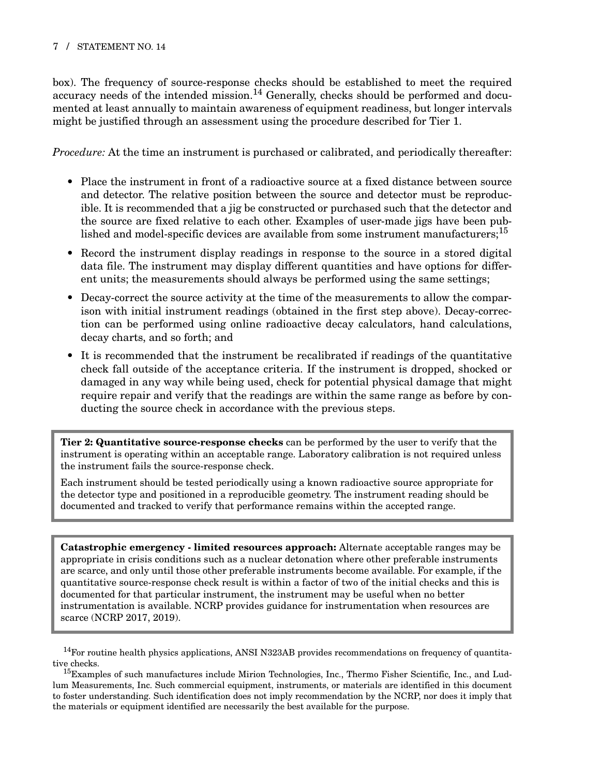#### 7 / STATEMENT NO. 14

box). The frequency of source-response checks should be established to meet the required accuracy needs of the intended mission.<sup>14</sup> Generally, checks should be performed and documented at least annually to maintain awareness of equipment readiness, but longer intervals might be justified through an assessment using the procedure described for Tier 1.

*Procedure:* At the time an instrument is purchased or calibrated, and periodically thereafter:

- Place the instrument in front of a radioactive source at a fixed distance between source and detector. The relative position between the source and detector must be reproducible. It is recommended that a jig be constructed or purchased such that the detector and the source are fixed relative to each other. Examples of user-made jigs have been published and model-specific devices are available from some instrument manufacturers;<sup>15</sup>
- Record the instrument display readings in response to the source in a stored digital data file. The instrument may display different quantities and have options for different units; the measurements should always be performed using the same settings;
- Decay-correct the source activity at the time of the measurements to allow the comparison with initial instrument readings (obtained in the first step above). Decay-correction can be performed using online radioactive decay calculators, hand calculations, decay charts, and so forth; and
- It is recommended that the instrument be recalibrated if readings of the quantitative check fall outside of the acceptance criteria. If the instrument is dropped, shocked or damaged in any way while being used, check for potential physical damage that might require repair and verify that the readings are within the same range as before by conducting the source check in accordance with the previous steps.

**Tier 2: Quantitative source-response checks** can be performed by the user to verify that the instrument is operating within an acceptable range. Laboratory calibration is not required unless the instrument fails the source-response check.

Each instrument should be tested periodically using a known radioactive source appropriate for the detector type and positioned in a reproducible geometry. The instrument reading should be documented and tracked to verify that performance remains within the accepted range.

**Catastrophic emergency - limited resources approach:** Alternate acceptable ranges may be appropriate in crisis conditions such as a nuclear detonation where other preferable instruments are scarce, and only until those other preferable instruments become available. For example, if the quantitative source-response check result is within a factor of two of the initial checks and this is documented for that particular instrument, the instrument may be useful when no better instrumentation is available. NCRP provides guidance for instrumentation when resources are scarce (NCRP 2017, 2019).

 $14$ For routine health physics applications, ANSI N323AB provides recommendations on frequency of quantitative checks.

<sup>&</sup>lt;sup>15</sup>Examples of such manufactures include Mirion Technologies, Inc., Thermo Fisher Scientific, Inc., and Ludlum Measurements, Inc. Such commercial equipment, instruments, or materials are identified in this document to foster understanding. Such identification does not imply recommendation by the NCRP, nor does it imply that the materials or equipment identified are necessarily the best available for the purpose.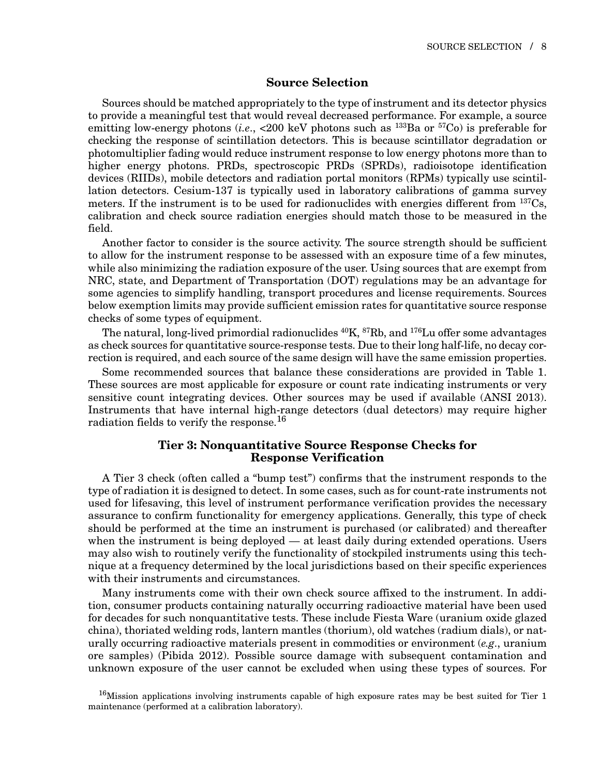#### **Source Selection**

Sources should be matched appropriately to the type of instrument and its detector physics to provide a meaningful test that would reveal decreased performance. For example, a source emitting low-energy photons (*i.e.*,  $\langle 200 \text{ keV}$  photons such as <sup>133</sup>Ba or <sup>57</sup>Co) is preferable for checking the response of scintillation detectors. This is because scintillator degradation or photomultiplier fading would reduce instrument response to low energy photons more than to higher energy photons. PRDs, spectroscopic PRDs (SPRDs), radioisotope identification devices (RIIDs), mobile detectors and radiation portal monitors (RPMs) typically use scintillation detectors. Cesium-137 is typically used in laboratory calibrations of gamma survey meters. If the instrument is to be used for radionuclides with energies different from <sup>137</sup>Cs, calibration and check source radiation energies should match those to be measured in the field.

Another factor to consider is the source activity. The source strength should be sufficient to allow for the instrument response to be assessed with an exposure time of a few minutes, while also minimizing the radiation exposure of the user. Using sources that are exempt from NRC, state, and Department of Transportation (DOT) regulations may be an advantage for some agencies to simplify handling, transport procedures and license requirements. Sources below exemption limits may provide sufficient emission rates for quantitative source response checks of some types of equipment.

The natural, long-lived primordial radionuclides  $^{40}K$ ,  $^{87}Rb$ , and  $^{176}Lu$  offer some advantages as check sources for quantitative source-response tests. Due to their long half-life, no decay correction is required, and each source of the same design will have the same emission properties.

Some recommended sources that balance these considerations are provided in Table 1. These sources are most applicable for exposure or count rate indicating instruments or very sensitive count integrating devices. Other sources may be used if available (ANSI 2013). Instruments that have internal high-range detectors (dual detectors) may require higher radiation fields to verify the response.<sup>16</sup>

#### **Tier 3: Nonquantitative Source Response Checks for Response Verification**

A Tier 3 check (often called a "bump test") confirms that the instrument responds to the type of radiation it is designed to detect. In some cases, such as for count-rate instruments not used for lifesaving, this level of instrument performance verification provides the necessary assurance to confirm functionality for emergency applications. Generally, this type of check should be performed at the time an instrument is purchased (or calibrated) and thereafter when the instrument is being deployed — at least daily during extended operations. Users may also wish to routinely verify the functionality of stockpiled instruments using this technique at a frequency determined by the local jurisdictions based on their specific experiences with their instruments and circumstances.

Many instruments come with their own check source affixed to the instrument. In addition, consumer products containing naturally occurring radioactive material have been used for decades for such nonquantitative tests. These include Fiesta Ware (uranium oxide glazed china), thoriated welding rods, lantern mantles (thorium), old watches (radium dials), or naturally occurring radioactive materials present in commodities or environment (*e.g*., uranium ore samples) (Pibida 2012). Possible source damage with subsequent contamination and unknown exposure of the user cannot be excluded when using these types of sources. For

<sup>16</sup>Mission applications involving instruments capable of high exposure rates may be best suited for Tier 1 maintenance (performed at a calibration laboratory).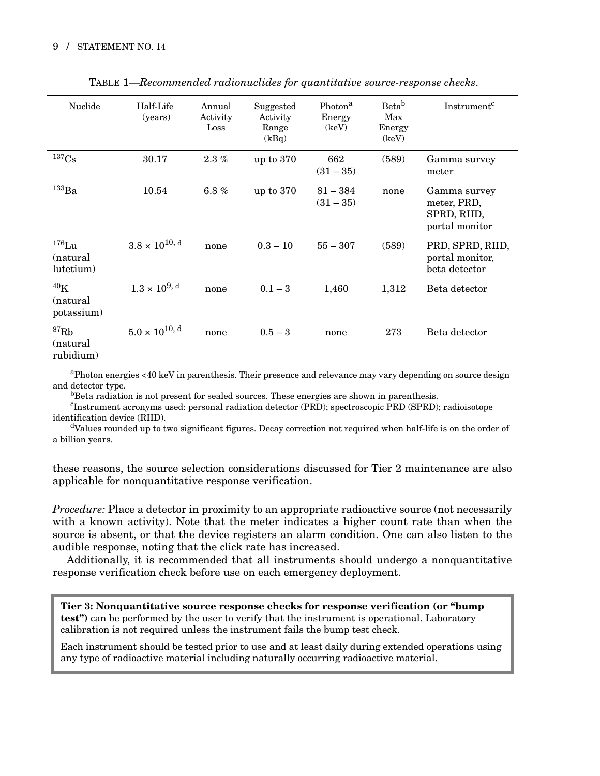| Nuclide                                   | Half-Life<br>(years)    | Annual<br>Activity<br>Loss | Suggested<br>Activity<br>Range<br>(kBq) | Photon <sup>a</sup><br>Energy<br>(key) | Beta <sup>b</sup><br>Max<br>Energy<br>(keV) | Instrument <sup>c</sup>                                      |
|-------------------------------------------|-------------------------|----------------------------|-----------------------------------------|----------------------------------------|---------------------------------------------|--------------------------------------------------------------|
| 137 <sub>Cs</sub>                         | 30.17                   | $2.3\%$                    | up to $370$                             | 662<br>$(31 - 35)$                     | (589)                                       | Gamma survey<br>meter                                        |
| $\rm ^{133}Ba$                            | 10.54                   | $6.8\%$                    | up to $370$                             | $81 - 384$<br>$(31 - 35)$              | none                                        | Gamma survey<br>meter, PRD,<br>SPRD, RIID,<br>portal monitor |
| $176$ Lu<br>(natural)<br>lutetium)        | $3.8 \times 10^{10, d}$ | none                       | $0.3 - 10$                              | $55 - 307$                             | (589)                                       | PRD, SPRD, RIID,<br>portal monitor,<br>beta detector         |
| 40 <sub>K</sub><br>(natural<br>potassium) | $1.3 \times 10^{9, d}$  | none                       | $0.1 - 3$                               | 1,460                                  | 1,312                                       | Beta detector                                                |
| ${}^{87}$ Rb<br>(natural)<br>rubidium)    | $5.0 \times 10^{10, d}$ | none                       | $0.5 - 3$                               | none                                   | 273                                         | Beta detector                                                |

TABLE 1—*Recommended radionuclides for quantitative source-response checks*.

aPhoton energies <40 keV in parenthesis. Their presence and relevance may vary depending on source design and detector type.

<sup>b</sup>Beta radiation is not present for sealed sources. These energies are shown in parenthesis.

Instrument acronyms used: personal radiation detector (PRD); spectroscopic PRD (SPRD); radioisotope identification device (RIID).

dValues rounded up to two significant figures. Decay correction not required when half-life is on the order of a billion years.

these reasons, the source selection considerations discussed for Tier 2 maintenance are also applicable for nonquantitative response verification.

*Procedure:* Place a detector in proximity to an appropriate radioactive source (not necessarily with a known activity). Note that the meter indicates a higher count rate than when the source is absent, or that the device registers an alarm condition. One can also listen to the audible response, noting that the click rate has increased.

Additionally, it is recommended that all instruments should undergo a nonquantitative response verification check before use on each emergency deployment.

**Tier 3: Nonquantitative source response checks for response verification (or "bump test")** can be performed by the user to verify that the instrument is operational. Laboratory calibration is not required unless the instrument fails the bump test check.

Each instrument should be tested prior to use and at least daily during extended operations using any type of radioactive material including naturally occurring radioactive material.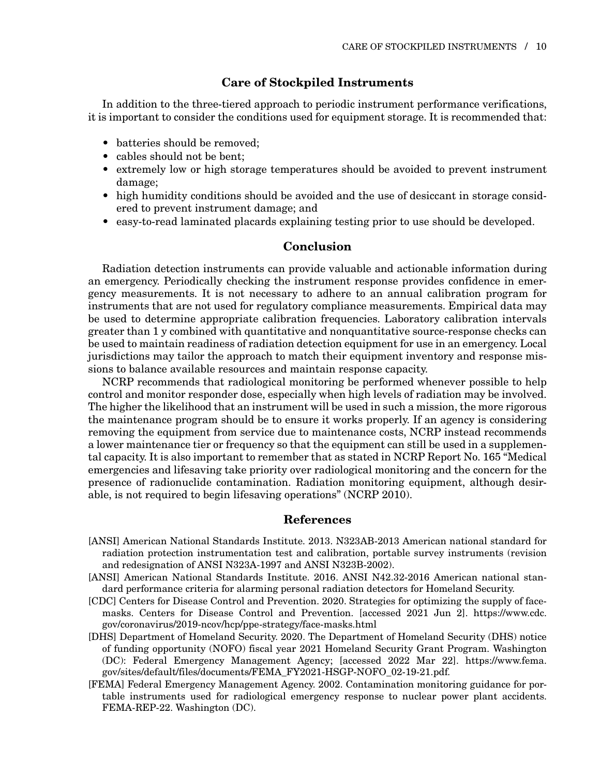## **Care of Stockpiled Instruments**

In addition to the three-tiered approach to periodic instrument performance verifications, it is important to consider the conditions used for equipment storage. It is recommended that:

- batteries should be removed;
- cables should not be bent;
- extremely low or high storage temperatures should be avoided to prevent instrument damage;
- high humidity conditions should be avoided and the use of desiccant in storage considered to prevent instrument damage; and
- easy-to-read laminated placards explaining testing prior to use should be developed.

#### **Conclusion**

Radiation detection instruments can provide valuable and actionable information during an emergency. Periodically checking the instrument response provides confidence in emergency measurements. It is not necessary to adhere to an annual calibration program for instruments that are not used for regulatory compliance measurements. Empirical data may be used to determine appropriate calibration frequencies. Laboratory calibration intervals greater than 1 y combined with quantitative and nonquantitative source-response checks can be used to maintain readiness of radiation detection equipment for use in an emergency. Local jurisdictions may tailor the approach to match their equipment inventory and response missions to balance available resources and maintain response capacity.

NCRP recommends that radiological monitoring be performed whenever possible to help control and monitor responder dose, especially when high levels of radiation may be involved. The higher the likelihood that an instrument will be used in such a mission, the more rigorous the maintenance program should be to ensure it works properly. If an agency is considering removing the equipment from service due to maintenance costs, NCRP instead recommends a lower maintenance tier or frequency so that the equipment can still be used in a supplemental capacity. It is also important to remember that as stated in NCRP Report No. 165 "Medical emergencies and lifesaving take priority over radiological monitoring and the concern for the presence of radionuclide contamination. Radiation monitoring equipment, although desirable, is not required to begin lifesaving operations" (NCRP 2010).

#### **References**

- [ANSI] American National Standards Institute. 2013. N323AB-2013 American national standard for radiation protection instrumentation test and calibration, portable survey instruments (revision and redesignation of ANSI N323A-1997 and ANSI N323B-2002).
- [ANSI] American National Standards Institute. 2016. ANSI N42.32-2016 American national standard performance criteria for alarming personal radiation detectors for Homeland Security.
- [CDC] Centers for Disease Control and Prevention. 2020. Strategies for optimizing the supply of facemasks. Centers for Disease Control and Prevention. [accessed 2021 Jun 2]. https://www.cdc. gov/coronavirus/2019-ncov/hcp/ppe-strategy/face-masks.html
- [DHS] Department of Homeland Security. 2020. The Department of Homeland Security (DHS) notice of funding opportunity (NOFO) fiscal year 2021 Homeland Security Grant Program. Washington (DC): Federal Emergency Management Agency; [accessed 2022 Mar 22]. https://www.fema. gov/sites/default/files/documents/FEMA\_FY2021-HSGP-NOFO\_02-19-21.pdf.
- [FEMA] Federal Emergency Management Agency. 2002. Contamination monitoring guidance for portable instruments used for radiological emergency response to nuclear power plant accidents. FEMA-REP-22. Washington (DC).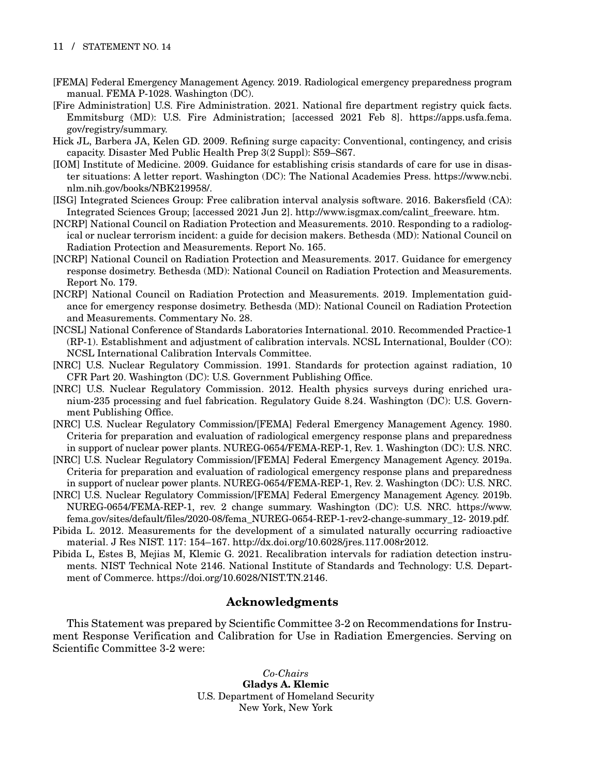#### 11 / STATEMENT NO. 14

- [FEMA] Federal Emergency Management Agency. 2019. Radiological emergency preparedness program manual. FEMA P-1028. Washington (DC).
- [Fire Administration] U.S. Fire Administration. 2021. National fire department registry quick facts. Emmitsburg (MD): U.S. Fire Administration; [accessed 2021 Feb 8]. https://apps.usfa.fema. gov/registry/summary.
- Hick JL, Barbera JA, Kelen GD. 2009. Refining surge capacity: Conventional, contingency, and crisis capacity. Disaster Med Public Health Prep 3(2 Suppl): S59–S67.
- [IOM] Institute of Medicine. 2009. Guidance for establishing crisis standards of care for use in disaster situations: A letter report. Washington (DC): The National Academies Press. https://www.ncbi. nlm.nih.gov/books/NBK219958/.
- [ISG] Integrated Sciences Group: Free calibration interval analysis software. 2016. Bakersfield (CA): Integrated Sciences Group; [accessed 2021 Jun 2]. http://www.isgmax.com/calint\_freeware. htm.
- [NCRP] National Council on Radiation Protection and Measurements. 2010. Responding to a radiological or nuclear terrorism incident: a guide for decision makers. Bethesda (MD): National Council on Radiation Protection and Measurements. Report No. 165.
- [NCRP] National Council on Radiation Protection and Measurements. 2017. Guidance for emergency response dosimetry. Bethesda (MD): National Council on Radiation Protection and Measurements. Report No. 179.
- [NCRP] National Council on Radiation Protection and Measurements. 2019. Implementation guidance for emergency response dosimetry. Bethesda (MD): National Council on Radiation Protection and Measurements. Commentary No. 28.
- [NCSL] National Conference of Standards Laboratories International. 2010. Recommended Practice-1 (RP-1). Establishment and adjustment of calibration intervals. NCSL International, Boulder (CO): NCSL International Calibration Intervals Committee.
- [NRC] U.S. Nuclear Regulatory Commission. 1991. Standards for protection against radiation, 10 CFR Part 20. Washington (DC): U.S. Government Publishing Office.
- [NRC] U.S. Nuclear Regulatory Commission. 2012. Health physics surveys during enriched uranium-235 processing and fuel fabrication. Regulatory Guide 8.24. Washington (DC): U.S. Government Publishing Office.
- [NRC] U.S. Nuclear Regulatory Commission/[FEMA] Federal Emergency Management Agency. 1980. Criteria for preparation and evaluation of radiological emergency response plans and preparedness in support of nuclear power plants. NUREG-0654/FEMA-REP-1, Rev. 1. Washington (DC): U.S. NRC.
- [NRC] U.S. Nuclear Regulatory Commission/[FEMA] Federal Emergency Management Agency. 2019a. Criteria for preparation and evaluation of radiological emergency response plans and preparedness in support of nuclear power plants. NUREG-0654/FEMA-REP-1, Rev. 2. Washington (DC): U.S. NRC.
- [NRC] U.S. Nuclear Regulatory Commission/[FEMA] Federal Emergency Management Agency. 2019b. NUREG-0654/FEMA-REP-1, rev. 2 change summary. Washington (DC): U.S. NRC. https://www. fema.gov/sites/default/files/2020-08/fema\_NUREG-0654-REP-1-rev2-change-summary\_12- 2019.pdf.
- Pibida L. 2012. Measurements for the development of a simulated naturally occurring radioactive material. J Res NIST. 117: 154–167. http://dx.doi.org/10.6028/jres.117.008r2012.
- Pibida L, Estes B, Mejias M, Klemic G. 2021. Recalibration intervals for radiation detection instruments. NIST Technical Note 2146. National Institute of Standards and Technology: U.S. Department of Commerce. https://doi.org/10.6028/NIST.TN.2146.

## **Acknowledgments**

This Statement was prepared by Scientific Committee 3-2 on Recommendations for Instrument Response Verification and Calibration for Use in Radiation Emergencies. Serving on Scientific Committee 3-2 were:

> *Co-Chairs* **Gladys A. Klemic** U.S. Department of Homeland Security New York, New York